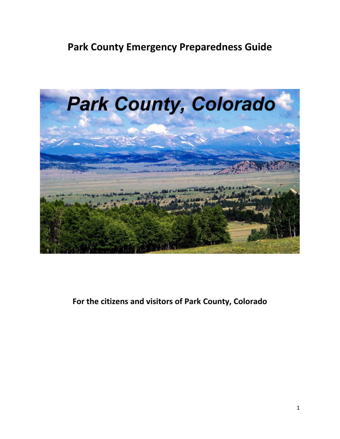

**For the citizens and visitors of Park County, Colorado**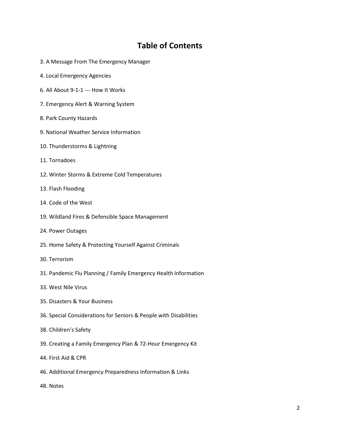### **Table of Contents**

- 3. A Message From The Emergency Manager
- 4. Local Emergency Agencies
- 6. All About 9-1-1 --- How It Works
- 7. Emergency Alert & Warning System
- 8. Park County Hazards
- 9. National Weather Service Information
- 10. Thunderstorms & Lightning
- 11. Tornadoes
- 12. Winter Storms & Extreme Cold Temperatures
- 13. Flash Flooding
- 14. Code of the West
- 19. Wildland Fires & Defensible Space Management
- 24. Power Outages
- 25. Home Safety & Protecting Yourself Against Criminals
- 30. Terrorism
- 31. Pandemic Flu Planning / Family Emergency Health Information
- 33. West Nile Virus
- 35. Disasters & Your Business
- 36. Special Considerations for Seniors & People with Disabilities
- 38. Children's Safety
- 39. Creating a Family Emergency Plan & 72-Hour Emergency Kit
- 44. First Aid & CPR
- 46. Additional Emergency Preparedness Information & Links
- 48. Notes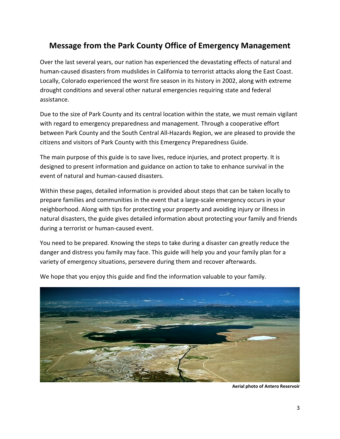# **Message from the Park County Office of Emergency Management**

Over the last several years, our nation has experienced the devastating effects of natural and human-caused disasters from mudslides in California to terrorist attacks along the East Coast. Locally, Colorado experienced the worst fire season in its history in 2002, along with extreme drought conditions and several other natural emergencies requiring state and federal assistance.

Due to the size of Park County and its central location within the state, we must remain vigilant with regard to emergency preparedness and management. Through a cooperative effort between Park County and the South Central All-Hazards Region, we are pleased to provide the citizens and visitors of Park County with this Emergency Preparedness Guide.

The main purpose of this guide is to save lives, reduce injuries, and protect property. It is designed to present information and guidance on action to take to enhance survival in the event of natural and human-caused disasters.

Within these pages, detailed information is provided about steps that can be taken locally to prepare families and communities in the event that a large-scale emergency occurs in your neighborhood. Along with tips for protecting your property and avoiding injury or illness in natural disasters, the guide gives detailed information about protecting your family and friends during a terrorist or human-caused event.

You need to be prepared. Knowing the steps to take during a disaster can greatly reduce the danger and distress you family may face. This guide will help you and your family plan for a variety of emergency situations, persevere during them and recover afterwards.



We hope that you enjoy this guide and find the information valuable to your family.

**Aerial photo of Antero Reservoir**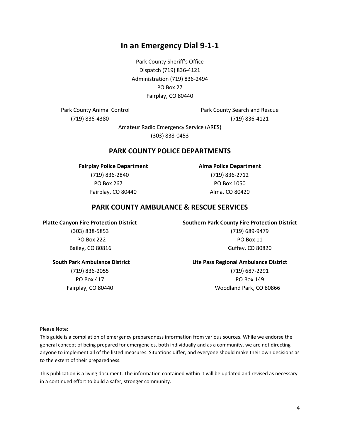4

### **In an Emergency Dial 9-1-1**

Park County Sheriff's Office Dispatch (719) 836-4121 Administration (719) 836-2494 PO Box 27 Fairplay, CO 80440

Park County Animal Control **Park County Search and Rescue** (719) 836-4380 (719) 836-4121

> Amateur Radio Emergency Service (ARES) (303) 838-0453

#### **PARK COUNTY POLICE DEPARTMENTS**

**Fairplay Police Department Alma Police Department** (719) 836-2840 (719) 836-2712 PO Box 267 PO Box 1050 Fairplay, CO 80440 **Alma, CO 80420** 

#### **PARK COUNTY AMBULANCE & RESCUE SERVICES**

(303) 838-5853 (719) 689-9479 PO Box 222 PO Box 11 Bailey, CO 80816 Guffey, CO 80820

**Platte Canyon Fire Protection District Southern Park County Fire Protection District**

### **South Park Ambulance District Ute Pass Regional Ambulance District**

(719) 836-2055 (719) 687-2291 PO Box 417 PO Box 417 Fairplay, CO 80440 Woodland Park, CO 80866

Please Note:

This guide is a compilation of emergency preparedness information from various sources. While we endorse the general concept of being prepared for emergencies, both individually and as a community, we are not directing anyone to implement all of the listed measures. Situations differ, and everyone should make their own decisions as to the extent of their preparedness.

This publication is a living document. The information contained within it will be updated and revised as necessary in a continued effort to build a safer, stronger community.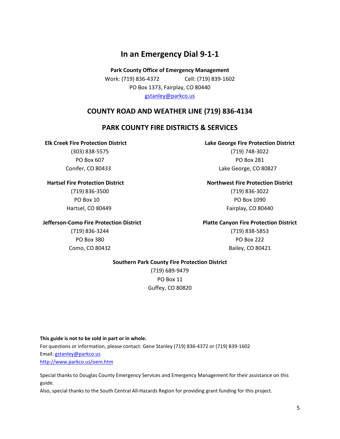### **In an Emergency Dial 9-1-1**

**Park County Office of Emergency Management** Work: (719) 836-4372 Cell: (719) 839-1602 PO Box 1373, Fairplay, CO 80440 [gstanley@parkco.us](mailto:gstanley@parkco.us)

#### **COUNTY ROAD AND WEATHER LINE (719) 836-4134**

#### **PARK COUNTY FIRE DISTRICTS & SERVICES**

#### **Elk Creek Fire Protection District Lake George Fire Protection District**

(303) 838-5575 (719) 748-3022 PO Box 607 PO Box 281 Conifer, CO 80433 Lake George, CO 80827

#### **Hartsel Fire Protection District Northwest Fire Protection District**

(719) 836-3500 (719) 836-3022 PO Box 10 PO Box 1090 Hartsel, CO 80449 Fairplay, CO 80440

#### **Jefferson-Como Fire Protection District Platte Canyon Fire Protection District**

(719) 836-3244 (719) 838-5853 PO Box 380 PO Box 222 Como, CO 80432 **Bailey, CO 80421** 

#### **Southern Park County Fire Protection District**

(719) 689-9479 PO Box 11 Guffey, CO 80820

#### **This guide is not to be sold in part or in whole.**

For questions or information, please contact: Gene Stanley (719) 836-4372 or (719) 839-1602 Email: [gstanley@parkco.us](mailto:gstanley@parkco.us) <http://www.parkco.us/oem.htm>

Special thanks to Douglas County Emergency Services and Emergency Management for their assistance on this guide.

Also, special thanks to the South Central All-Hazards Region for providing grant funding for this project.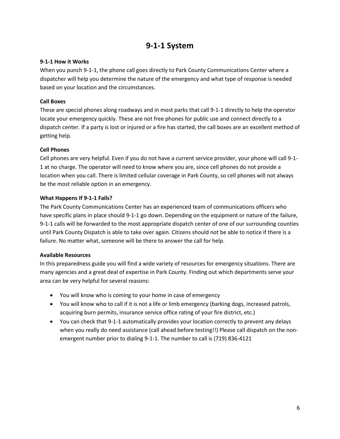### **9-1-1 System**

#### **9-1-1 How it Works**

When you punch 9-1-1, the phone call goes directly to Park County Communications Center where a dispatcher will help you determine the nature of the emergency and what type of response is needed based on your location and the circumstances.

#### **Call Boxes**

These are special phones along roadways and in most parks that call 9-1-1 directly to help the operator locate your emergency quickly. These are not free phones for public use and connect directly to a dispatch center. If a party is lost or injured or a fire has started, the call boxes are an excellent method of getting help.

#### **Cell Phones**

Cell phones are very helpful. Even if you do not have a current service provider, your phone will call 9-1- 1 at no charge. The operator will need to know where you are, since cell phones do not provide a location when you call. There is limited cellular coverage in Park County, so cell phones will not always be the most reliable option in an emergency.

#### **What Happens If 9-1-1 Fails?**

The Park County Communications Center has an experienced team of communications officers who have specific plans in place should 9-1-1 go down. Depending on the equipment or nature of the failure, 9-1-1 calls will be forwarded to the most appropriate dispatch center of one of our surrounding counties until Park County Dispatch is able to take over again. Citizens should not be able to notice if there is a failure. No matter what, someone will be there to answer the call for help.

#### **Available Resources**

In this preparedness guide you will find a wide variety of resources for emergency situations. There are many agencies and a great deal of expertise in Park County. Finding out which departments serve your area can be very helpful for several reasons:

- You will know who is coming to your home in case of emergency
- You will know who to call if it is not a life or limb emergency (barking dogs, increased patrols, acquiring burn permits, insurance service office rating of your fire district, etc.)
- You can check that 9-1-1 automatically provides your location correctly to prevent any delays when you really do need assistance (call ahead before testing!!) Please call dispatch on the nonemergent number prior to dialing 9-1-1. The number to call is (719) 836-4121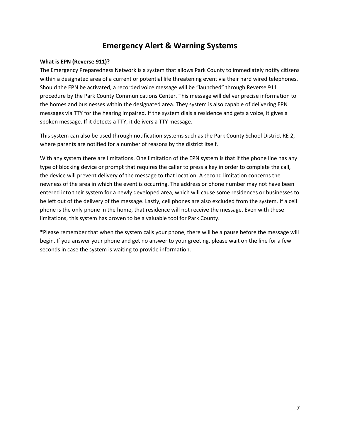### **Emergency Alert & Warning Systems**

#### **What is EPN (Reverse 911)?**

The Emergency Preparedness Network is a system that allows Park County to immediately notify citizens within a designated area of a current or potential life threatening event via their hard wired telephones. Should the EPN be activated, a recorded voice message will be "launched" through Reverse 911 procedure by the Park County Communications Center. This message will deliver precise information to the homes and businesses within the designated area. They system is also capable of delivering EPN messages via TTY for the hearing impaired. If the system dials a residence and gets a voice, it gives a spoken message. If it detects a TTY, it delivers a TTY message.

This system can also be used through notification systems such as the Park County School District RE 2, where parents are notified for a number of reasons by the district itself.

With any system there are limitations. One limitation of the EPN system is that if the phone line has any type of blocking device or prompt that requires the caller to press a key in order to complete the call, the device will prevent delivery of the message to that location. A second limitation concerns the newness of the area in which the event is occurring. The address or phone number may not have been entered into their system for a newly developed area, which will cause some residences or businesses to be left out of the delivery of the message. Lastly, cell phones are also excluded from the system. If a cell phone is the only phone in the home, that residence will not receive the message. Even with these limitations, this system has proven to be a valuable tool for Park County.

\*Please remember that when the system calls your phone, there will be a pause before the message will begin. If you answer your phone and get no answer to your greeting, please wait on the line for a few seconds in case the system is waiting to provide information.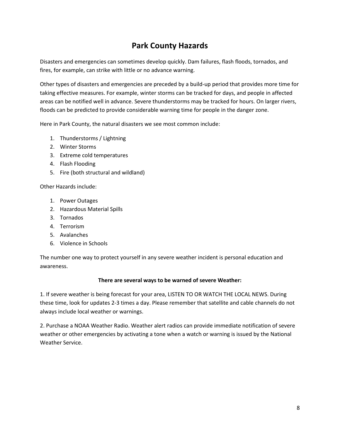# **Park County Hazards**

Disasters and emergencies can sometimes develop quickly. Dam failures, flash floods, tornados, and fires, for example, can strike with little or no advance warning.

Other types of disasters and emergencies are preceded by a build-up period that provides more time for taking effective measures. For example, winter storms can be tracked for days, and people in affected areas can be notified well in advance. Severe thunderstorms may be tracked for hours. On larger rivers, floods can be predicted to provide considerable warning time for people in the danger zone.

Here in Park County, the natural disasters we see most common include:

- 1. Thunderstorms / Lightning
- 2. Winter Storms
- 3. Extreme cold temperatures
- 4. Flash Flooding
- 5. Fire (both structural and wildland)

Other Hazards include:

- 1. Power Outages
- 2. Hazardous Material Spills
- 3. Tornados
- 4. Terrorism
- 5. Avalanches
- 6. Violence in Schools

The number one way to protect yourself in any severe weather incident is personal education and awareness.

#### **There are several ways to be warned of severe Weather:**

1. If severe weather is being forecast for your area, LISTEN TO OR WATCH THE LOCAL NEWS. During these time, look for updates 2-3 times a day. Please remember that satellite and cable channels do not always include local weather or warnings.

2. Purchase a NOAA Weather Radio. Weather alert radios can provide immediate notification of severe weather or other emergencies by activating a tone when a watch or warning is issued by the National Weather Service.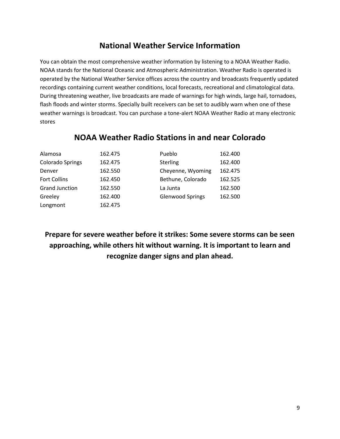# **National Weather Service Information**

You can obtain the most comprehensive weather information by listening to a NOAA Weather Radio. NOAA stands for the National Oceanic and Atmospheric Administration. Weather Radio is operated is operated by the National Weather Service offices across the country and broadcasts frequently updated recordings containing current weather conditions, local forecasts, recreational and climatological data. During threatening weather, live broadcasts are made of warnings for high winds, large hail, tornadoes, flash floods and winter storms. Specially built receivers can be set to audibly warn when one of these weather warnings is broadcast. You can purchase a tone-alert NOAA Weather Radio at many electronic stores

| Alamosa               | 162.475 | Pueblo                  | 162.400 |
|-----------------------|---------|-------------------------|---------|
| Colorado Springs      | 162.475 | <b>Sterling</b>         | 162.400 |
| Denver                | 162.550 | Cheyenne, Wyoming       | 162.475 |
| <b>Fort Collins</b>   | 162.450 | Bethune, Colorado       | 162.525 |
| <b>Grand Junction</b> | 162.550 | La Junta                | 162.500 |
| Greeley               | 162.400 | <b>Glenwood Springs</b> | 162.500 |
| Longmont              | 162.475 |                         |         |

### **NOAA Weather Radio Stations in and near Colorado**

**Prepare for severe weather before it strikes: Some severe storms can be seen approaching, while others hit without warning. It is important to learn and recognize danger signs and plan ahead.**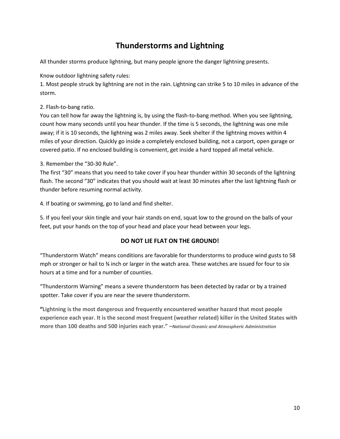# **Thunderstorms and Lightning**

All thunder storms produce lightning, but many people ignore the danger lightning presents.

Know outdoor lightning safety rules:

1. Most people struck by lightning are not in the rain. Lightning can strike 5 to 10 miles in advance of the storm.

2. Flash-to-bang ratio.

You can tell how far away the lightning is, by using the flash-to-bang method. When you see lightning, count how many seconds until you hear thunder. If the time is 5 seconds, the lightning was one mile away; if it is 10 seconds, the lightning was 2 miles away. Seek shelter if the lightning moves within 4 miles of your direction. Quickly go inside a completely enclosed building, not a carport, open garage or covered patio. If no enclosed building is convenient, get inside a hard topped all metal vehicle.

3. Remember the "30-30 Rule".

The first "30" means that you need to take cover if you hear thunder within 30 seconds of the lightning flash. The second "30" indicates that you should wait at least 30 minutes after the last lightning flash or thunder before resuming normal activity.

4. If boating or swimming, go to land and find shelter.

5. If you feel your skin tingle and your hair stands on end, squat low to the ground on the balls of your feet, put your hands on the top of your head and place your head between your legs.

### **DO NOT LIE FLAT ON THE GROUND!**

"Thunderstorm Watch" means conditions are favorable for thunderstorms to produce wind gusts to 58 mph or stronger or hail to ¾ inch or larger in the watch area. These watches are issued for four to six hours at a time and for a number of counties.

"Thunderstorm Warning" means a severe thunderstorm has been detected by radar or by a trained spotter. Take cover if you are near the severe thunderstorm.

**"Lightning is the most dangerous and frequently encountered weather hazard that most people experience each year. It is the second most frequent (weather related) killer in the United States with more than 100 deaths and 500 injuries each year." –***National Oceanic and Atmospheric Administration*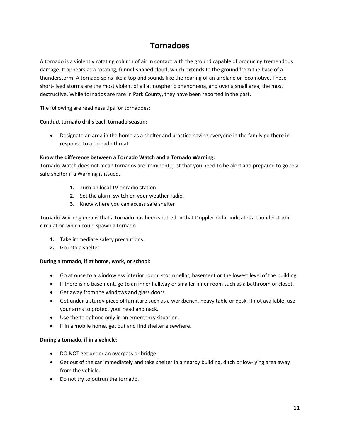# **Tornadoes**

A tornado is a violently rotating column of air in contact with the ground capable of producing tremendous damage. It appears as a rotating, funnel-shaped cloud, which extends to the ground from the base of a thunderstorm. A tornado spins like a top and sounds like the roaring of an airplane or locomotive. These short-lived storms are the most violent of all atmospheric phenomena, and over a small area, the most destructive. While tornados are rare in Park County, they have been reported in the past.

The following are readiness tips for tornadoes:

#### **Conduct tornado drills each tornado season:**

• Designate an area in the home as a shelter and practice having everyone in the family go there in response to a tornado threat.

#### **Know the difference between a Tornado Watch and a Tornado Warning:**

Tornado Watch does not mean tornados are imminent, just that you need to be alert and prepared to go to a safe shelter if a Warning is issued.

- **1.** Turn on local TV or radio station.
- **2.** Set the alarm switch on your weather radio.
- **3.** Know where you can access safe shelter

Tornado Warning means that a tornado has been spotted or that Doppler radar indicates a thunderstorm circulation which could spawn a tornado

- **1.** Take immediate safety precautions.
- **2.** Go into a shelter.

#### **During a tornado, if at home, work, or school:**

- Go at once to a windowless interior room, storm cellar, basement or the lowest level of the building.
- If there is no basement, go to an inner hallway or smaller inner room such as a bathroom or closet.
- Get away from the windows and glass doors.
- Get under a sturdy piece of furniture such as a workbench, heavy table or desk. If not available, use your arms to protect your head and neck.
- Use the telephone only in an emergency situation.
- If in a mobile home, get out and find shelter elsewhere.

#### **During a tornado, if in a vehicle:**

- DO NOT get under an overpass or bridge!
- Get out of the car immediately and take shelter in a nearby building, ditch or low-lying area away from the vehicle.
- Do not try to outrun the tornado.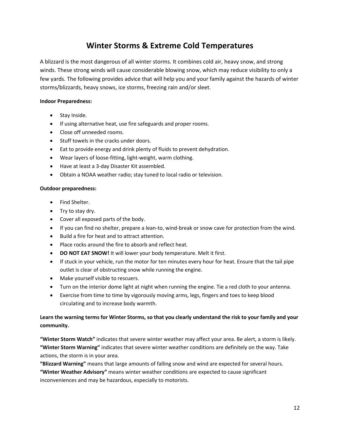### **Winter Storms & Extreme Cold Temperatures**

A blizzard is the most dangerous of all winter storms. It combines cold air, heavy snow, and strong winds. These strong winds will cause considerable blowing snow, which may reduce visibility to only a few yards. The following provides advice that will help you and your family against the hazards of winter storms/blizzards, heavy snows, ice storms, freezing rain and/or sleet.

#### **Indoor Preparedness:**

- Stay Inside.
- If using alternative heat, use fire safeguards and proper rooms.
- Close off unneeded rooms.
- Stuff towels in the cracks under doors.
- Eat to provide energy and drink plenty of fluids to prevent dehydration.
- Wear layers of loose-fitting, light-weight, warm clothing.
- Have at least a 3-day Disaster Kit assembled.
- Obtain a NOAA weather radio; stay tuned to local radio or television.

#### **Outdoor preparedness:**

- Find Shelter.
- Try to stay dry.
- Cover all exposed parts of the body.
- If you can find no shelter, prepare a lean-to, wind-break or snow cave for protection from the wind.
- Build a fire for heat and to attract attention.
- Place rocks around the fire to absorb and reflect heat.
- **DO NOT EAT SNOW!** It will lower your body temperature. Melt it first.
- If stuck in your vehicle, run the motor for ten minutes every hour for heat. Ensure that the tail pipe outlet is clear of obstructing snow while running the engine.
- Make yourself visible to rescuers.
- Turn on the interior dome light at night when running the engine. Tie a red cloth to your antenna.
- Exercise from time to time by vigorously moving arms, legs, fingers and toes to keep blood circulating and to increase body warmth.

#### **Learn the warning terms for Winter Storms, so that you clearly understand the risk to your family and your community.**

**"Winter Storm Watch"** indicates that severe winter weather may affect your area. Be alert, a storm is likely. **"Winter Storm Warning"** indicates that severe winter weather conditions are definitely on the way. Take actions, the storm is in your area.

**"Blizzard Warning"** means that large amounts of falling snow and wind are expected for several hours.

**"Winter Weather Advisory"** means winter weather conditions are expected to cause significant inconveniences and may be hazardous, especially to motorists.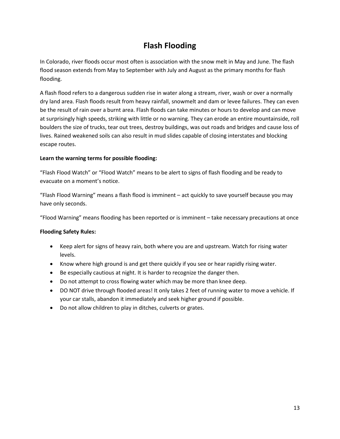# **Flash Flooding**

In Colorado, river floods occur most often is association with the snow melt in May and June. The flash flood season extends from May to September with July and August as the primary months for flash flooding.

A flash flood refers to a dangerous sudden rise in water along a stream, river, wash or over a normally dry land area. Flash floods result from heavy rainfall, snowmelt and dam or levee failures. They can even be the result of rain over a burnt area. Flash floods can take minutes or hours to develop and can move at surprisingly high speeds, striking with little or no warning. They can erode an entire mountainside, roll boulders the size of trucks, tear out trees, destroy buildings, was out roads and bridges and cause loss of lives. Rained weakened soils can also result in mud slides capable of closing interstates and blocking escape routes.

#### **Learn the warning terms for possible flooding:**

"Flash Flood Watch" or "Flood Watch" means to be alert to signs of flash flooding and be ready to evacuate on a moment's notice.

"Flash Flood Warning" means a flash flood is imminent – act quickly to save yourself because you may have only seconds.

"Flood Warning" means flooding has been reported or is imminent – take necessary precautions at once

#### **Flooding Safety Rules:**

- Keep alert for signs of heavy rain, both where you are and upstream. Watch for rising water levels.
- Know where high ground is and get there quickly if you see or hear rapidly rising water.
- Be especially cautious at night. It is harder to recognize the danger then.
- Do not attempt to cross flowing water which may be more than knee deep.
- DO NOT drive through flooded areas! It only takes 2 feet of running water to move a vehicle. If your car stalls, abandon it immediately and seek higher ground if possible.
- Do not allow children to play in ditches, culverts or grates.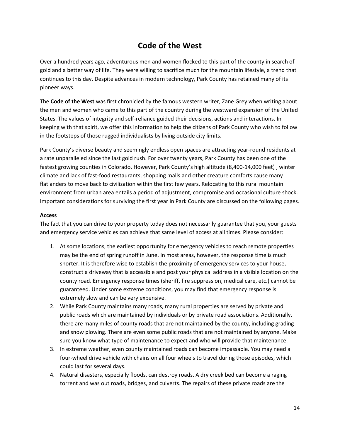## **Code of the West**

Over a hundred years ago, adventurous men and women flocked to this part of the county in search of gold and a better way of life. They were willing to sacrifice much for the mountain lifestyle, a trend that continues to this day. Despite advances in modern technology, Park County has retained many of its pioneer ways.

The **Code of the West** was first chronicled by the famous western writer, Zane Grey when writing about the men and women who came to this part of the country during the westward expansion of the United States. The values of integrity and self-reliance guided their decisions, actions and interactions. In keeping with that spirit, we offer this information to help the citizens of Park County who wish to follow in the footsteps of those rugged individualists by living outside city limits.

Park County's diverse beauty and seemingly endless open spaces are attracting year-round residents at a rate unparalleled since the last gold rush. For over twenty years, Park County has been one of the fastest growing counties in Colorado. However, Park County's high altitude (8,400-14,000 feet) , winter climate and lack of fast-food restaurants, shopping malls and other creature comforts cause many flatlanders to move back to civilization within the first few years. Relocating to this rural mountain environment from urban area entails a period of adjustment, compromise and occasional culture shock. Important considerations for surviving the first year in Park County are discussed on the following pages.

#### **Access**

The fact that you can drive to your property today does not necessarily guarantee that you, your guests and emergency service vehicles can achieve that same level of access at all times. Please consider:

- 1. At some locations, the earliest opportunity for emergency vehicles to reach remote properties may be the end of spring runoff in June. In most areas, however, the response time is much shorter. It is therefore wise to establish the proximity of emergency services to your house, construct a driveway that is accessible and post your physical address in a visible location on the county road. Emergency response times (sheriff, fire suppression, medical care, etc.) cannot be guaranteed. Under some extreme conditions, you may find that emergency response is extremely slow and can be very expensive.
- 2. While Park County maintains many roads, many rural properties are served by private and public roads which are maintained by individuals or by private road associations. Additionally, there are many miles of county roads that are not maintained by the county, including grading and snow plowing. There are even some public roads that are not maintained by anyone. Make sure you know what type of maintenance to expect and who will provide that maintenance.
- 3. In extreme weather, even county maintained roads can become impassable. You may need a four-wheel drive vehicle with chains on all four wheels to travel during those episodes, which could last for several days.
- 4. Natural disasters, especially floods, can destroy roads. A dry creek bed can become a raging torrent and was out roads, bridges, and culverts. The repairs of these private roads are the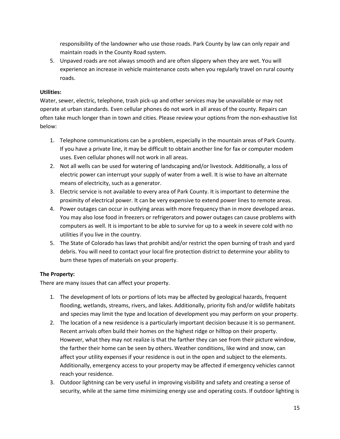responsibility of the landowner who use those roads. Park County by law can only repair and maintain roads in the County Road system.

5. Unpaved roads are not always smooth and are often slippery when they are wet. You will experience an increase in vehicle maintenance costs when you regularly travel on rural county roads.

#### **Utilities:**

Water, sewer, electric, telephone, trash pick-up and other services may be unavailable or may not operate at urban standards. Even cellular phones do not work in all areas of the county. Repairs can often take much longer than in town and cities. Please review your options from the non-exhaustive list below:

- 1. Telephone communications can be a problem, especially in the mountain areas of Park County. If you have a private line, it may be difficult to obtain another line for fax or computer modem uses. Even cellular phones will not work in all areas.
- 2. Not all wells can be used for watering of landscaping and/or livestock. Additionally, a loss of electric power can interrupt your supply of water from a well. It is wise to have an alternate means of electricity, such as a generator.
- 3. Electric service is not available to every area of Park County. It is important to determine the proximity of electrical power. It can be very expensive to extend power lines to remote areas.
- 4. Power outages can occur in outlying areas with more frequency than in more developed areas. You may also lose food in freezers or refrigerators and power outages can cause problems with computers as well. It is important to be able to survive for up to a week in severe cold with no utilities if you live in the country.
- 5. The State of Colorado has laws that prohibit and/or restrict the open burning of trash and yard debris. You will need to contact your local fire protection district to determine your ability to burn these types of materials on your property.

### **The Property:**

There are many issues that can affect your property.

- 1. The development of lots or portions of lots may be affected by geological hazards, frequent flooding, wetlands, streams, rivers, and lakes. Additionally, priority fish and/or wildlife habitats and species may limit the type and location of development you may perform on your property.
- 2. The location of a new residence is a particularly important decision because it is so permanent. Recent arrivals often build their homes on the highest ridge or hilltop on their property. However, what they may not realize is that the farther they can see from their picture window, the farther their home can be seen by others. Weather conditions, like wind and snow, can affect your utility expenses if your residence is out in the open and subject to the elements. Additionally, emergency access to your property may be affected if emergency vehicles cannot reach your residence.
- 3. Outdoor lightning can be very useful in improving visibility and safety and creating a sense of security, while at the same time minimizing energy use and operating costs. If outdoor lighting is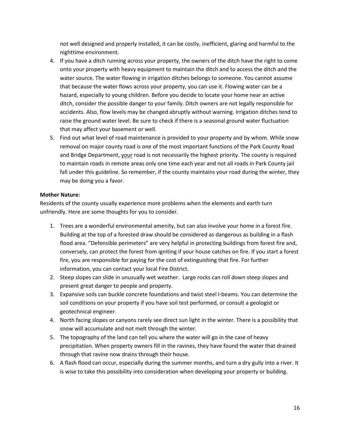not well designed and properly installed, it can be costly, inefficient, glaring and harmful to the nighttime environment.

- 4. If you have a ditch running across your property, the owners of the ditch have the right to come onto your property with heavy equipment to maintain the ditch and to access the ditch and the water source. The water flowing in irrigation ditches belongs to someone. You cannot assume that because the water flows across your property, you can use it. Flowing water can be a hazard, especially to young children. Before you decide to locate your home near an active ditch, consider the possible danger to your family. Ditch owners are not legally responsible for accidents. Also, flow levels may be changed abruptly without warning. Irrigation ditches tend to raise the ground water level. Be sure to check if there is a seasonal ground water fluctuation that may affect your basement or well.
- 5. Find out what level of road maintenance is provided to your property and by whom. While snow removal on major county road is one of the most important functions of the Park County Road and Bridge Department, your road is not necessarily the highest priority. The county is required to maintain roads in remote areas only one time each year and not all roads in Park County jail fall under this guideline. So remember, if the county maintains your road during the winter, they may be doing you a favor.

#### **Mother Nature:**

Residents of the county usually experience more problems when the elements and earth turn unfriendly. Here are some thoughts for you to consider.

- 1. Trees are a wonderful environmental amenity, but can also involve your home in a forest fire. Building at the top of a forested draw should be considered as dangerous as building in a flash flood area. "Defensible perimeters" are very helpful in protecting buildings from forest fire and, conversely, can protect the forest from igniting if your house catches on fire. If you start a forest fire, you are responsible for paying for the cost of extinguishing that fire. For further information, you can contact your local Fire District.
- 2. Steep slopes can slide in unusually wet weather. Large rocks can roll down steep slopes and present great danger to people and property.
- 3. Expansive soils can buckle concrete foundations and twist steel I-beams. You can determine the soil conditions on your property if you have soil test performed, or consult a geologist or geotechnical engineer.
- 4. North facing slopes or canyons rarely see direct sun light in the winter. There is a possibility that snow will accumulate and not melt through the winter.
- 5. The topography of the land can tell you where the water will go in the case of heavy precipitation. When property owners fill in the ravines, they have found the water that drained through that ravine now drains through their house.
- 6. A flash flood can occur, especially during the summer months, and turn a dry gully into a river. It is wise to take this possibility into consideration when developing your property or building.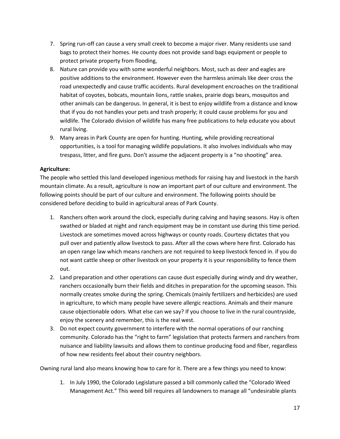- 7. Spring run-off can cause a very small creek to become a major river. Many residents use sand bags to protect their homes. He county does not provide sand bags equipment or people to protect private property from flooding,
- 8. Nature can provide you with some wonderful neighbors. Most, such as deer and eagles are positive additions to the environment. However even the harmless animals like deer cross the road unexpectedly and cause traffic accidents. Rural development encroaches on the traditional habitat of coyotes, bobcats, mountain lions, rattle snakes, prairie dogs bears, mosquitos and other animals can be dangerous. In general, it is best to enjoy wildlife from a distance and know that if you do not handles your pets and trash properly; it could cause problems for you and wildlife. The Colorado division of wildlife has many free publications to help educate you about rural living.
- 9. Many areas in Park County are open for hunting. Hunting, while providing recreational opportunities, is a tool for managing wildlife populations. It also involves individuals who may trespass, litter, and fire guns. Don't assume the adjacent property is a "no shooting" area.

#### **Agriculture:**

The people who settled this land developed ingenious methods for raising hay and livestock in the harsh mountain climate. As a result, agriculture is now an important part of our culture and environment. The following points should be part of our culture and environment. The following points should be considered before deciding to build in agricultural areas of Park County.

- 1. Ranchers often work around the clock, especially during calving and haying seasons. Hay is often swathed or bladed at night and ranch equipment may be in constant use during this time period. Livestock are sometimes moved across highways or county roads. Courtesy dictates that you pull over and patiently allow livestock to pass. After all the cows where here first. Colorado has an open range law which means ranchers are not required to keep livestock fenced in. if you do not want cattle sheep or other livestock on your property it is your responsibility to fence them out.
- 2. Land preparation and other operations can cause dust especially during windy and dry weather, ranchers occasionally burn their fields and ditches in preparation for the upcoming season. This normally creates smoke during the spring. Chemicals (mainly fertilizers and herbicides) are used in agriculture, to which many people have severe allergic reactions. Animals and their manure cause objectionable odors. What else can we say? If you choose to live in the rural countryside, enjoy the scenery and remember, this is the real west.
- 3. Do not expect county government to interfere with the normal operations of our ranching community. Colorado has the "right to farm" legislation that protects farmers and ranchers from nuisance and liability lawsuits and allows them to continue producing food and fiber, regardless of how new residents feel about their country neighbors.

Owning rural land also means knowing how to care for it. There are a few things you need to know:

1. In July 1990, the Colorado Legislature passed a bill commonly called the "Colorado Weed Management Act." This weed bill requires all landowners to manage all "undesirable plants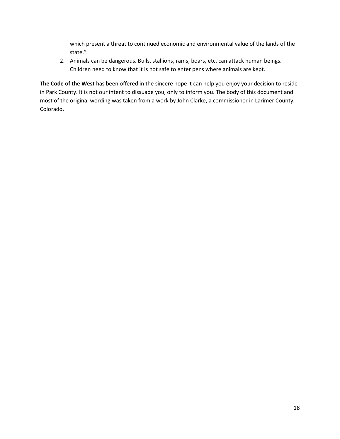which present a threat to continued economic and environmental value of the lands of the state."

2. Animals can be dangerous. Bulls, stallions, rams, boars, etc. can attack human beings. Children need to know that it is not safe to enter pens where animals are kept.

**The Code of the West** has been offered in the sincere hope it can help you enjoy your decision to reside in Park County. It is not our intent to dissuade you, only to inform you. The body of this document and most of the original wording was taken from a work by John Clarke, a commissioner in Larimer County, Colorado.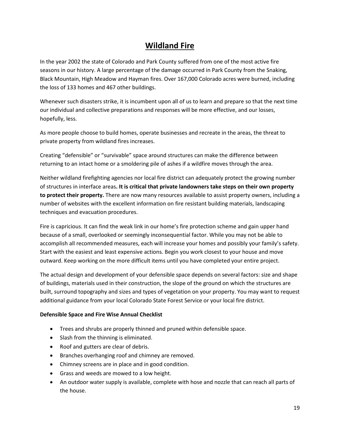## **Wildland Fire**

In the year 2002 the state of Colorado and Park County suffered from one of the most active fire seasons in our history. A large percentage of the damage occurred in Park County from the Snaking, Black Mountain, High Meadow and Hayman fires. Over 167,000 Colorado acres were burned, including the loss of 133 homes and 467 other buildings.

Whenever such disasters strike, it is incumbent upon all of us to learn and prepare so that the next time our individual and collective preparations and responses will be more effective, and our losses, hopefully, less.

As more people choose to build homes, operate businesses and recreate in the areas, the threat to private property from wildland fires increases.

Creating "defensible" or "survivable" space around structures can make the difference between returning to an intact home or a smoldering pile of ashes if a wildfire moves through the area.

Neither wildland firefighting agencies nor local fire district can adequately protect the growing number of structures in interface areas**. It is critical that private landowners take steps on their own property to protect their property.** There are now many resources available to assist property owners, including a number of websites with the excellent information on fire resistant building materials, landscaping techniques and evacuation procedures.

Fire is capricious. It can find the weak link in our home's fire protection scheme and gain upper hand because of a small, overlooked or seemingly inconsequential factor. While you may not be able to accomplish all recommended measures, each will increase your homes and possibly your family's safety. Start with the easiest and least expensive actions. Begin you work closest to your house and move outward. Keep working on the more difficult items until you have completed your entire project.

The actual design and development of your defensible space depends on several factors: size and shape of buildings, materials used in their construction, the slope of the ground on which the structures are built, surround topography and sizes and types of vegetation on your property. You may want to request additional guidance from your local Colorado State Forest Service or your local fire district.

#### **Defensible Space and Fire Wise Annual Checklist**

- Trees and shrubs are properly thinned and pruned within defensible space.
- Slash from the thinning is eliminated.
- Roof and gutters are clear of debris.
- Branches overhanging roof and chimney are removed.
- Chimney screens are in place and in good condition.
- Grass and weeds are mowed to a low height.
- An outdoor water supply is available, complete with hose and nozzle that can reach all parts of the house.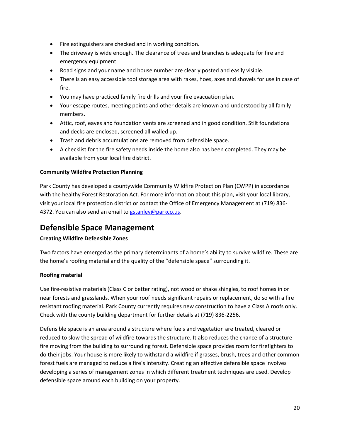- Fire extinguishers are checked and in working condition.
- The driveway is wide enough. The clearance of trees and branches is adequate for fire and emergency equipment.
- Road signs and your name and house number are clearly posted and easily visible.
- There is an easy accessible tool storage area with rakes, hoes, axes and shovels for use in case of fire.
- You may have practiced family fire drills and your fire evacuation plan.
- Your escape routes, meeting points and other details are known and understood by all family members.
- Attic, roof, eaves and foundation vents are screened and in good condition. Stilt foundations and decks are enclosed, screened all walled up.
- Trash and debris accumulations are removed from defensible space.
- A checklist for the fire safety needs inside the home also has been completed. They may be available from your local fire district.

#### **Community Wildfire Protection Planning**

Park County has developed a countywide Community Wildfire Protection Plan (CWPP) in accordance with the healthy Forest Restoration Act. For more information about this plan, visit your local library, visit your local fire protection district or contact the Office of Emergency Management at (719) 836 4372. You can also send an email to [gstanley@parkco.us.](mailto:gstanley@parkco.us)

### **Defensible Space Management**

#### **Creating Wildfire Defensible Zones**

Two factors have emerged as the primary determinants of a home's ability to survive wildfire. These are the home's roofing material and the quality of the "defensible space" surrounding it.

#### **Roofing material**

Use fire-resistive materials (Class C or better rating), not wood or shake shingles, to roof homes in or near forests and grasslands. When your roof needs significant repairs or replacement, do so with a fire resistant roofing material. Park County currently requires new construction to have a Class A roofs only. Check with the county building department for further details at (719) 836-2256.

Defensible space is an area around a structure where fuels and vegetation are treated, cleared or reduced to slow the spread of wildfire towards the structure. It also reduces the chance of a structure fire moving from the building to surrounding forest. Defensible space provides room for firefighters to do their jobs. Your house is more likely to withstand a wildfire if grasses, brush, trees and other common forest fuels are managed to reduce a fire's intensity. Creating an effective defensible space involves developing a series of management zones in which different treatment techniques are used. Develop defensible space around each building on your property.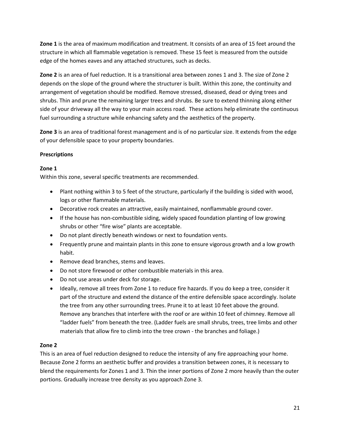**Zone 1** is the area of maximum modification and treatment. It consists of an area of 15 feet around the structure in which all flammable vegetation is removed. These 15 feet is measured from the outside edge of the homes eaves and any attached structures, such as decks.

**Zone 2** is an area of fuel reduction. It is a transitional area between zones 1 and 3. The size of Zone 2 depends on the slope of the ground where the structurer is built. Within this zone, the continuity and arrangement of vegetation should be modified. Remove stressed, diseased, dead or dying trees and shrubs. Thin and prune the remaining larger trees and shrubs. Be sure to extend thinning along either side of your driveway all the way to your main access road. These actions help eliminate the continuous fuel surrounding a structure while enhancing safety and the aesthetics of the property.

**Zone 3** is an area of traditional forest management and is of no particular size. It extends from the edge of your defensible space to your property boundaries.

#### **Prescriptions**

#### **Zone 1**

Within this zone, several specific treatments are recommended.

- Plant nothing within 3 to 5 feet of the structure, particularly if the building is sided with wood, logs or other flammable materials.
- Decorative rock creates an attractive, easily maintained, nonflammable ground cover.
- If the house has non-combustible siding, widely spaced foundation planting of low growing shrubs or other "fire wise" plants are acceptable.
- Do not plant directly beneath windows or next to foundation vents.
- Frequently prune and maintain plants in this zone to ensure vigorous growth and a low growth habit.
- Remove dead branches, stems and leaves.
- Do not store firewood or other combustible materials in this area.
- Do not use areas under deck for storage.
- Ideally, remove all trees from Zone 1 to reduce fire hazards. If you do keep a tree, consider it part of the structure and extend the distance of the entire defensible space accordingly. Isolate the tree from any other surrounding trees. Prune it to at least 10 feet above the ground. Remove any branches that interfere with the roof or are within 10 feet of chimney. Remove all "ladder fuels" from beneath the tree. (Ladder fuels are small shrubs, trees, tree limbs and other materials that allow fire to climb into the tree crown - the branches and foliage.)

#### **Zone 2**

This is an area of fuel reduction designed to reduce the intensity of any fire approaching your home. Because Zone 2 forms an aesthetic buffer and provides a transition between zones, it is necessary to blend the requirements for Zones 1 and 3. Thin the inner portions of Zone 2 more heavily than the outer portions. Gradually increase tree density as you approach Zone 3.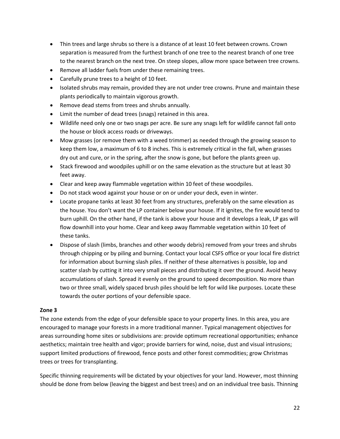- Thin trees and large shrubs so there is a distance of at least 10 feet between crowns. Crown separation is measured from the furthest branch of one tree to the nearest branch of one tree to the nearest branch on the next tree. On steep slopes, allow more space between tree crowns.
- Remove all ladder fuels from under these remaining trees.
- Carefully prune trees to a height of 10 feet.
- Isolated shrubs may remain, provided they are not under tree crowns. Prune and maintain these plants periodically to maintain vigorous growth.
- Remove dead stems from trees and shrubs annually.
- Limit the number of dead trees (snags) retained in this area.
- Wildlife need only one or two snags per acre. Be sure any snags left for wildlife cannot fall onto the house or block access roads or driveways.
- Mow grasses (or remove them with a weed trimmer) as needed through the growing season to keep them low, a maximum of 6 to 8 inches. This is extremely critical in the fall, when grasses dry out and cure, or in the spring, after the snow is gone, but before the plants green up.
- Stack firewood and woodpiles uphill or on the same elevation as the structure but at least 30 feet away.
- Clear and keep away flammable vegetation within 10 feet of these woodpiles.
- Do not stack wood against your house or on or under your deck, even in winter.
- Locate propane tanks at least 30 feet from any structures, preferably on the same elevation as the house. You don't want the LP container below your house. If it ignites, the fire would tend to burn uphill. On the other hand, if the tank is above your house and it develops a leak, LP gas will flow downhill into your home. Clear and keep away flammable vegetation within 10 feet of these tanks.
- Dispose of slash (limbs, branches and other woody debris) removed from your trees and shrubs through chipping or by piling and burning. Contact your local CSFS office or your local fire district for information about burning slash piles. If neither of these alternatives is possible, lop and scatter slash by cutting it into very small pieces and distributing it over the ground. Avoid heavy accumulations of slash. Spread it evenly on the ground to speed decomposition. No more than two or three small, widely spaced brush piles should be left for wild like purposes. Locate these towards the outer portions of your defensible space.

#### **Zone 3**

The zone extends from the edge of your defensible space to your property lines. In this area, you are encouraged to manage your forests in a more traditional manner. Typical management objectives for areas surrounding home sites or subdivisions are: provide optimum recreational opportunities; enhance aesthetics; maintain tree health and vigor; provide barriers for wind, noise, dust and visual intrusions; support limited productions of firewood, fence posts and other forest commodities; grow Christmas trees or trees for transplanting.

Specific thinning requirements will be dictated by your objectives for your land. However, most thinning should be done from below (leaving the biggest and best trees) and on an individual tree basis. Thinning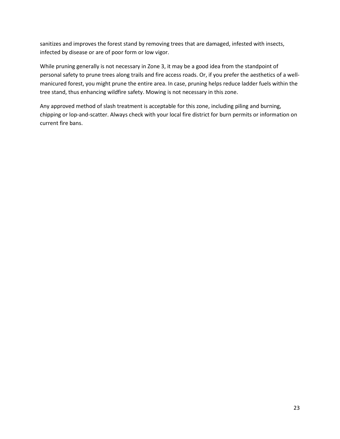sanitizes and improves the forest stand by removing trees that are damaged, infested with insects, infected by disease or are of poor form or low vigor.

While pruning generally is not necessary in Zone 3, it may be a good idea from the standpoint of personal safety to prune trees along trails and fire access roads. Or, if you prefer the aesthetics of a wellmanicured forest, you might prune the entire area. In case, pruning helps reduce ladder fuels within the tree stand, thus enhancing wildfire safety. Mowing is not necessary in this zone.

Any approved method of slash treatment is acceptable for this zone, including piling and burning, chipping or lop-and-scatter. Always check with your local fire district for burn permits or information on current fire bans.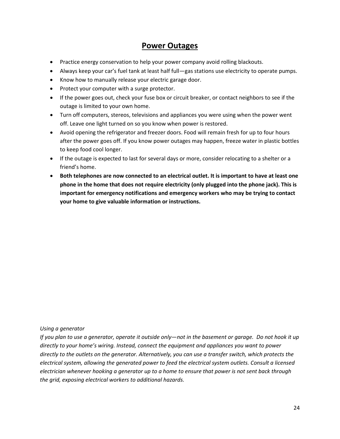### **Power Outages**

- Practice energy conservation to help your power company avoid rolling blackouts.
- Always keep your car's fuel tank at least half full—gas stations use electricity to operate pumps.
- Know how to manually release your electric garage door.
- Protect your computer with a surge protector.
- If the power goes out, check your fuse box or circuit breaker, or contact neighbors to see if the outage is limited to your own home.
- Turn off computers, stereos, televisions and appliances you were using when the power went off. Leave one light turned on so you know when power is restored.
- Avoid opening the refrigerator and freezer doors. Food will remain fresh for up to four hours after the power goes off. If you know power outages may happen, freeze water in plastic bottles to keep food cool longer.
- If the outage is expected to last for several days or more, consider relocating to a shelter or a friend's home.
- **Both telephones are now connected to an electrical outlet. It is important to have at least one phone in the home that does not require electricity (only plugged into the phone jack). This is important for emergency notifications and emergency workers who may be trying to contact your home to give valuable information or instructions.**

*Using a generator*

*If you plan to use a generator, operate it outside only—not in the basement or garage. Do not hook it up directly to your home's wiring. Instead, connect the equipment and appliances you want to power directly to the outlets on the generator. Alternatively, you can use a transfer switch, which protects the electrical system, allowing the generated power to feed the electrical system outlets. Consult a licensed electrician whenever hooking a generator up to a home to ensure that power is not sent back through the grid, exposing electrical workers to additional hazards.*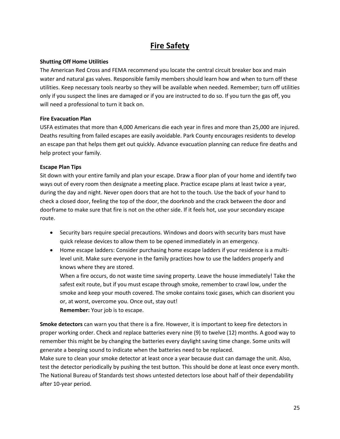# **Fire Safety**

#### **Shutting Off Home Utilities**

The American Red Cross and FEMA recommend you locate the central circuit breaker box and main water and natural gas valves. Responsible family members should learn how and when to turn off these utilities. Keep necessary tools nearby so they will be available when needed. Remember; turn off utilities only if you suspect the lines are damaged or if you are instructed to do so. If you turn the gas off, you will need a professional to turn it back on.

#### **Fire Evacuation Plan**

USFA estimates that more than 4,000 Americans die each year in fires and more than 25,000 are injured. Deaths resulting from failed escapes are easily avoidable. Park County encourages residents to develop an escape pan that helps them get out quickly. Advance evacuation planning can reduce fire deaths and help protect your family.

#### **Escape Plan Tips**

Sit down with your entire family and plan your escape. Draw a floor plan of your home and identify two ways out of every room then designate a meeting place. Practice escape plans at least twice a year, during the day and night. Never open doors that are hot to the touch. Use the back of your hand to check a closed door, feeling the top of the door, the doorknob and the crack between the door and doorframe to make sure that fire is not on the other side. If it feels hot, use your secondary escape route.

- Security bars require special precautions. Windows and doors with security bars must have quick release devices to allow them to be opened immediately in an emergency.
- Home escape ladders: Consider purchasing home escape ladders if your residence is a multilevel unit. Make sure everyone in the family practices how to use the ladders properly and knows where they are stored.

When a fire occurs, do not waste time saving property. Leave the house immediately! Take the safest exit route, but if you must escape through smoke, remember to crawl low, under the smoke and keep your mouth covered. The smoke contains toxic gases, which can disorient you or, at worst, overcome you. Once out, stay out!

**Remember:** Your job is to escape.

**Smoke detectors** can warn you that there is a fire. However, it is important to keep fire detectors in proper working order. Check and replace batteries every nine (9) to twelve (12) months. A good way to remember this might be by changing the batteries every daylight saving time change. Some units will generate a beeping sound to indicate when the batteries need to be replaced.

Make sure to clean your smoke detector at least once a year because dust can damage the unit. Also, test the detector periodically by pushing the test button. This should be done at least once every month. The National Bureau of Standards test shows untested detectors lose about half of their dependability after 10-year period.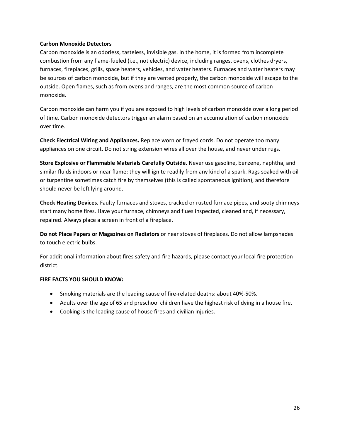#### **Carbon Monoxide Detectors**

Carbon monoxide is an odorless, tasteless, invisible gas. In the home, it is formed from incomplete combustion from any flame-fueled (i.e., not electric) device, including ranges, ovens, clothes dryers, furnaces, fireplaces, grills, space heaters, vehicles, and water heaters. Furnaces and water heaters may be sources of carbon monoxide, but if they are vented properly, the carbon monoxide will escape to the outside. Open flames, such as from ovens and ranges, are the most common source of carbon monoxide.

Carbon monoxide can harm you if you are exposed to high levels of carbon monoxide over a long period of time. Carbon monoxide detectors trigger an alarm based on an accumulation of carbon monoxide over time.

**Check Electrical Wiring and Appliances.** Replace worn or frayed cords. Do not operate too many appliances on one circuit. Do not string extension wires all over the house, and never under rugs.

**Store Explosive or Flammable Materials Carefully Outside.** Never use gasoline, benzene, naphtha, and similar fluids indoors or near flame: they will ignite readily from any kind of a spark. Rags soaked with oil or turpentine sometimes catch fire by themselves (this is called spontaneous ignition), and therefore should never be left lying around.

**Check Heating Devices.** Faulty furnaces and stoves, cracked or rusted furnace pipes, and sooty chimneys start many home fires. Have your furnace, chimneys and flues inspected, cleaned and, if necessary, repaired. Always place a screen in front of a fireplace.

**Do not Place Papers or Magazines on Radiators** or near stoves of fireplaces. Do not allow lampshades to touch electric bulbs.

For additional information about fires safety and fire hazards, please contact your local fire protection district.

#### **FIRE FACTS YOU SHOULD KNOW:**

- Smoking materials are the leading cause of fire-related deaths: about 40%-50%.
- Adults over the age of 65 and preschool children have the highest risk of dying in a house fire.
- Cooking is the leading cause of house fires and civilian injuries.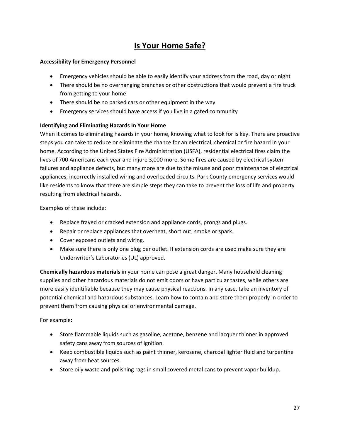# **Is Your Home Safe?**

#### **Accessibility for Emergency Personnel**

- Emergency vehicles should be able to easily identify your address from the road, day or night
- There should be no overhanging branches or other obstructions that would prevent a fire truck from getting to your home
- There should be no parked cars or other equipment in the way
- Emergency services should have access if you live in a gated community

#### **Identifying and Eliminating Hazards In Your Home**

When it comes to eliminating hazards in your home, knowing what to look for is key. There are proactive steps you can take to reduce or eliminate the chance for an electrical, chemical or fire hazard in your home. According to the United States Fire Administration (USFA), residential electrical fires claim the lives of 700 Americans each year and injure 3,000 more. Some fires are caused by electrical system failures and appliance defects, but many more are due to the misuse and poor maintenance of electrical appliances, incorrectly installed wiring and overloaded circuits. Park County emergency services would like residents to know that there are simple steps they can take to prevent the loss of life and property resulting from electrical hazards.

Examples of these include:

- Replace frayed or cracked extension and appliance cords, prongs and plugs.
- Repair or replace appliances that overheat, short out, smoke or spark.
- Cover exposed outlets and wiring.
- Make sure there is only one plug per outlet. If extension cords are used make sure they are Underwriter's Laboratories (UL) approved.

**Chemically hazardous materials** in your home can pose a great danger. Many household cleaning supplies and other hazardous materials do not emit odors or have particular tastes, while others are more easily identifiable because they may cause physical reactions. In any case, take an inventory of potential chemical and hazardous substances. Learn how to contain and store them properly in order to prevent them from causing physical or environmental damage.

For example:

- Store flammable liquids such as gasoline, acetone, benzene and lacquer thinner in approved safety cans away from sources of ignition.
- Keep combustible liquids such as paint thinner, kerosene, charcoal lighter fluid and turpentine away from heat sources.
- Store oily waste and polishing rags in small covered metal cans to prevent vapor buildup.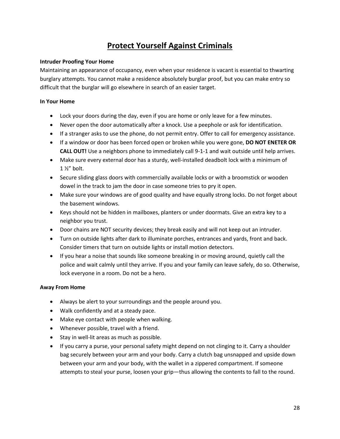# **Protect Yourself Against Criminals**

#### **Intruder Proofing Your Home**

Maintaining an appearance of occupancy, even when your residence is vacant is essential to thwarting burglary attempts. You cannot make a residence absolutely burglar proof, but you can make entry so difficult that the burglar will go elsewhere in search of an easier target.

#### **In Your Home**

- Lock your doors during the day, even if you are home or only leave for a few minutes.
- Never open the door automatically after a knock. Use a peephole or ask for identification.
- If a stranger asks to use the phone, do not permit entry. Offer to call for emergency assistance.
- If a window or door has been forced open or broken while you were gone, **DO NOT ENETER OR CALL OUT!** Use a neighbors phone to immediately call 9-1-1 and wait outside until help arrives.
- Make sure every external door has a sturdy, well-installed deadbolt lock with a minimum of 1 ½" bolt.
- Secure sliding glass doors with commercially available locks or with a broomstick or wooden dowel in the track to jam the door in case someone tries to pry it open.
- Make sure your windows are of good quality and have equally strong locks. Do not forget about the basement windows.
- Keys should not be hidden in mailboxes, planters or under doormats. Give an extra key to a neighbor you trust.
- Door chains are NOT security devices; they break easily and will not keep out an intruder.
- Turn on outside lights after dark to illuminate porches, entrances and yards, front and back. Consider timers that turn on outside lights or install motion detectors.
- If you hear a noise that sounds like someone breaking in or moving around, quietly call the police and wait calmly until they arrive. If you and your family can leave safely, do so. Otherwise, lock everyone in a room. Do not be a hero.

#### **Away From Home**

- Always be alert to your surroundings and the people around you.
- Walk confidently and at a steady pace.
- Make eye contact with people when walking.
- Whenever possible, travel with a friend.
- Stay in well-lit areas as much as possible.
- If you carry a purse, your personal safety might depend on not clinging to it. Carry a shoulder bag securely between your arm and your body. Carry a clutch bag unsnapped and upside down between your arm and your body, with the wallet in a zippered compartment. If someone attempts to steal your purse, loosen your grip—thus allowing the contents to fall to the round.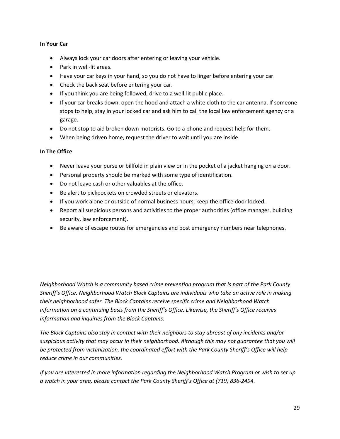#### **In Your Car**

- Always lock your car doors after entering or leaving your vehicle.
- Park in well-lit areas.
- Have your car keys in your hand, so you do not have to linger before entering your car.
- Check the back seat before entering your car.
- If you think you are being followed, drive to a well-lit public place.
- If your car breaks down, open the hood and attach a white cloth to the car antenna. If someone stops to help, stay in your locked car and ask him to call the local law enforcement agency or a garage.
- Do not stop to aid broken down motorists. Go to a phone and request help for them.
- When being driven home, request the driver to wait until you are inside.

#### **In The Office**

- Never leave your purse or billfold in plain view or in the pocket of a jacket hanging on a door.
- Personal property should be marked with some type of identification.
- Do not leave cash or other valuables at the office.
- Be alert to pickpockets on crowded streets or elevators.
- If you work alone or outside of normal business hours, keep the office door locked.
- Report all suspicious persons and activities to the proper authorities (office manager, building security, law enforcement).
- Be aware of escape routes for emergencies and post emergency numbers near telephones.

*Neighborhood Watch is a community based crime prevention program that is part of the Park County Sheriff's Office. Neighborhood Watch Block Captains are individuals who take an active role in making their neighborhood safer. The Block Captains receive specific crime and Neighborhood Watch information on a continuing basis from the Sheriff's Office. Likewise, the Sheriff's Office receives information and inquiries from the Block Captains.*

*The Block Captains also stay in contact with their neighbors to stay abreast of any incidents and/or suspicious activity that may occur in their neighborhood. Although this may not guarantee that you will be protected from victimization, the coordinated effort with the Park County Sheriff's Office will help reduce crime in our communities.*

*If you are interested in more information regarding the Neighborhood Watch Program or wish to set up a watch in your area, please contact the Park County Sheriff's Office at (719) 836-2494.*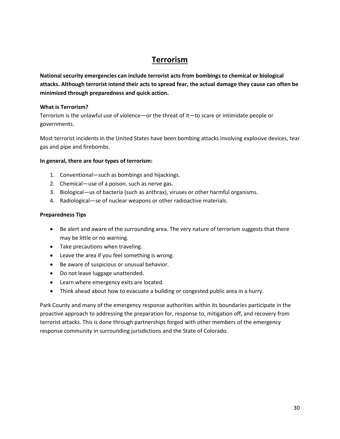### **Terrorism**

**National security emergencies can include terrorist acts from bombings to chemical or biological attacks. Although terrorist intend their acts to spread fear, the actual damage they cause can often be minimized through preparedness and quick action.**

#### **What is Terrorism?**

Terrorism is the unlawful use of violence—or the threat of it—to scare or intimidate people or governments.

Most terrorist incidents in the United States have been bombing attacks involving explosive devices, tear gas and pipe and firebombs.

#### **In general, there are four types of terrorism:**

- 1. Conventional—such as bombings and hijackings.
- 2. Chemical—use of a poison, such as nerve gas.
- 3. Biological—us of bacteria (such as anthrax), viruses or other harmful organisms.
- 4. Radiological—se of nuclear weapons or other radioactive materials.

#### **Preparedness Tips**

- Be alert and aware of the surrounding area. The very nature of terrorism suggests that there may be little or no warning.
- Take precautions when traveling.
- Leave the area if you feel something is wrong.
- Be aware of suspicious or unusual behavior.
- Do not leave luggage unattended.
- Learn where emergency exits are located.
- Think ahead about how to evacuate a building or congested public area in a hurry.

Park County and many of the emergency response authorities within its boundaries participate in the proactive approach to addressing the preparation for, response to, mitigation off, and recovery from terrorist attacks. This is done through partnerships forged with other members of the emergency response community in surrounding jurisdictions and the State of Colorado.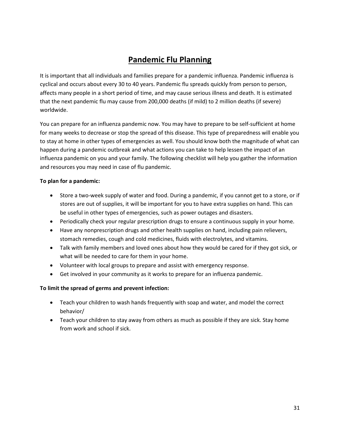# **Pandemic Flu Planning**

It is important that all individuals and families prepare for a pandemic influenza. Pandemic influenza is cyclical and occurs about every 30 to 40 years. Pandemic flu spreads quickly from person to person, affects many people in a short period of time, and may cause serious illness and death. It is estimated that the next pandemic flu may cause from 200,000 deaths (if mild) to 2 million deaths (if severe) worldwide.

You can prepare for an influenza pandemic now. You may have to prepare to be self-sufficient at home for many weeks to decrease or stop the spread of this disease. This type of preparedness will enable you to stay at home in other types of emergencies as well. You should know both the magnitude of what can happen during a pandemic outbreak and what actions you can take to help lessen the impact of an influenza pandemic on you and your family. The following checklist will help you gather the information and resources you may need in case of flu pandemic.

#### **To plan for a pandemic:**

- Store a two-week supply of water and food. During a pandemic, if you cannot get to a store, or if stores are out of supplies, it will be important for you to have extra supplies on hand. This can be useful in other types of emergencies, such as power outages and disasters.
- Periodically check your regular prescription drugs to ensure a continuous supply in your home.
- Have any nonprescription drugs and other health supplies on hand, including pain relievers, stomach remedies, cough and cold medicines, fluids with electrolytes, and vitamins.
- Talk with family members and loved ones about how they would be cared for if they got sick, or what will be needed to care for them in your home.
- Volunteer with local groups to prepare and assist with emergency response.
- Get involved in your community as it works to prepare for an influenza pandemic.

#### **To limit the spread of germs and prevent infection:**

- Teach your children to wash hands frequently with soap and water, and model the correct behavior/
- Teach your children to stay away from others as much as possible if they are sick. Stay home from work and school if sick.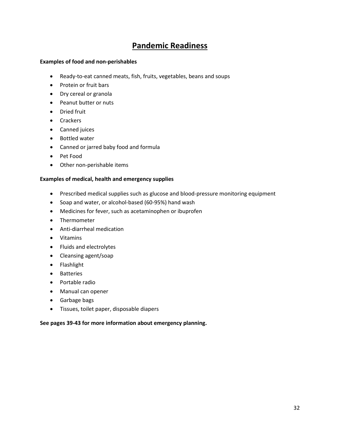### **Pandemic Readiness**

#### **Examples of food and non-perishables**

- Ready-to-eat canned meats, fish, fruits, vegetables, beans and soups
- Protein or fruit bars
- Dry cereal or granola
- Peanut butter or nuts
- Dried fruit
- Crackers
- Canned juices
- Bottled water
- Canned or jarred baby food and formula
- Pet Food
- Other non-perishable items

#### **Examples of medical, health and emergency supplies**

- Prescribed medical supplies such as glucose and blood-pressure monitoring equipment
- Soap and water, or alcohol-based (60-95%) hand wash
- Medicines for fever, such as acetaminophen or ibuprofen
- Thermometer
- Anti-diarrheal medication
- Vitamins
- Fluids and electrolytes
- Cleansing agent/soap
- Flashlight
- Batteries
- Portable radio
- Manual can opener
- Garbage bags
- Tissues, toilet paper, disposable diapers

#### **See pages 39-43 for more information about emergency planning.**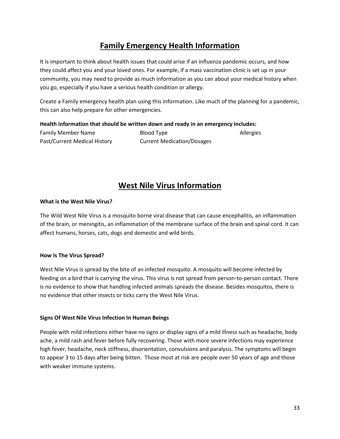# **Family Emergency Health Information**

It is important to think about health issues that could arise if an influenza pandemic occurs, and how they could affect you and your loved ones. For example, if a mass vaccination clinic is set up in your community, you may need to provide as much information as you can about your medical history when you go, especially if you have a serious health condition or allergy.

Create a Family emergency health plan using this information. Like much of the planning for a pandemic, this can also help prepare for other emergencies.

#### **Health information that should be written down and ready in an emergency includes:**

| Family Member Name           | Blood Type                        | Allergies |
|------------------------------|-----------------------------------|-----------|
| Past/Current Medical History | <b>Current Medication/Dosages</b> |           |

### **West Nile Virus Information**

#### **What is the West Nile Virus?**

The Wild West Nile Virus is a mosquito borne viral disease that can cause encephalitis, an inflammation of the brain, or meningitis, an inflammation of the membrane surface of the brain and spinal cord. It can affect humans, horses, cats, dogs and domestic and wild birds.

#### **How Is The Virus Spread?**

West Nile Virus is spread by the bite of an infected mosquito. A mosquito will become infected by feeding on a bird that is carrying the virus. This virus is not spread from person-to-person contact. There is no evidence to show that handling infected animals spreads the disease. Besides mosquitos, there is no evidence that other insects or ticks carry the West Nile Virus.

#### **Signs Of West Nile Virus Infection In Human Beings**

People with mild infections either have no signs or display signs of a mild illness such as headache, body ache, a mild rash and fever before fully recovering. Those with more severe infections may experience high fever, headache, neck stiffness, disorientation, convulsions and paralysis. The symptoms will begin to appear 3 to 15 days after being bitten. Those most at risk are people over 50 years of age and those with weaker immune systems.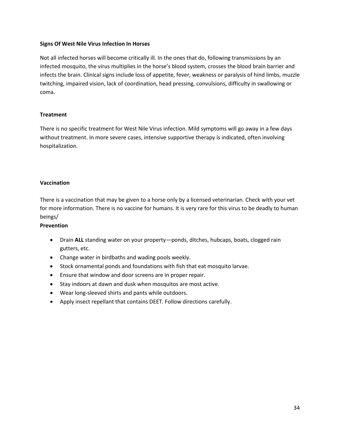#### **Signs Of West Nile Virus Infection In Horses**

Not all infected horses will become critically ill. In the ones that do, following transmissions by an infected mosquito, the virus multiplies in the horse's blood system, crosses the blood brain barrier and infects the brain. Clinical signs include loss of appetite, fever, weakness or paralysis of hind limbs, muzzle twitching, impaired vision, lack of coordination, head pressing, convulsions, difficulty in swallowing or coma.

#### **Treatment**

There is no specific treatment for West Nile Virus infection. Mild symptoms will go away in a few days without treatment. In more severe cases, intensive supportive therapy is indicated, often involving hospitalization.

#### **Vaccination**

There is a vaccination that may be given to a horse only by a licensed veterinarian. Check with your vet for more information. There is no vaccine for humans. It is very rare for this virus to be deadly to human beings/

#### **Prevention**

- Drain ALL standing water on your property—ponds, ditches, hubcaps, boats, clogged rain gutters, etc.
- Change water in birdbaths and wading pools weekly.
- Stock ornamental ponds and foundations with fish that eat mosquito larvae.
- Ensure that window and door screens are in proper repair.
- Stay indoors at dawn and dusk when mosquitos are most active.
- Wear long-sleeved shirts and pants while outdoors.
- Apply insect repellant that contains DEET. Follow directions carefully.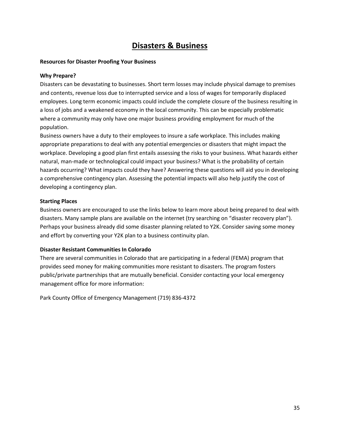### **Disasters & Business**

#### **Resources for Disaster Proofing Your Business**

#### **Why Prepare?**

Disasters can be devastating to businesses. Short term losses may include physical damage to premises and contents, revenue loss due to interrupted service and a loss of wages for temporarily displaced employees. Long term economic impacts could include the complete closure of the business resulting in a loss of jobs and a weakened economy in the local community. This can be especially problematic where a community may only have one major business providing employment for much of the population.

Business owners have a duty to their employees to insure a safe workplace. This includes making appropriate preparations to deal with any potential emergencies or disasters that might impact the workplace. Developing a good plan first entails assessing the risks to your business. What hazards either natural, man-made or technological could impact your business? What is the probability of certain hazards occurring? What impacts could they have? Answering these questions will aid you in developing a comprehensive contingency plan. Assessing the potential impacts will also help justify the cost of developing a contingency plan.

#### **Starting Places**

Business owners are encouraged to use the links below to learn more about being prepared to deal with disasters. Many sample plans are available on the internet (try searching on "disaster recovery plan"). Perhaps your business already did some disaster planning related to Y2K. Consider saving some money and effort by converting your Y2K plan to a business continuity plan.

#### **Disaster Resistant Communities In Colorado**

There are several communities in Colorado that are participating in a federal (FEMA) program that provides seed money for making communities more resistant to disasters. The program fosters public/private partnerships that are mutually beneficial. Consider contacting your local emergency management office for more information:

Park County Office of Emergency Management (719) 836-4372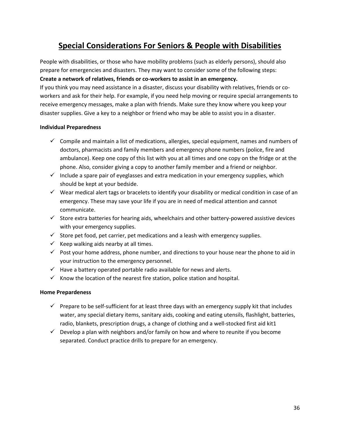# **Special Considerations For Seniors & People with Disabilities**

People with disabilities, or those who have mobility problems (such as elderly persons), should also prepare for emergencies and disasters. They may want to consider some of the following steps: **Create a network of relatives, friends or co-workers to assist in an emergency.**

If you think you may need assistance in a disaster, discuss your disability with relatives, friends or coworkers and ask for their help. For example, if you need help moving or require special arrangements to receive emergency messages, make a plan with friends. Make sure they know where you keep your disaster supplies. Give a key to a neighbor or friend who may be able to assist you in a disaster.

#### **Individual Preparedness**

- $\checkmark$  Compile and maintain a list of medications, allergies, special equipment, names and numbers of doctors, pharmacists and family members and emergency phone numbers (police, fire and ambulance). Keep one copy of this list with you at all times and one copy on the fridge or at the phone. Also, consider giving a copy to another family member and a friend or neighbor.
- $\checkmark$  Include a spare pair of eyeglasses and extra medication in your emergency supplies, which should be kept at your bedside.
- $\checkmark$  Wear medical alert tags or bracelets to identify your disability or medical condition in case of an emergency. These may save your life if you are in need of medical attention and cannot communicate.
- $\checkmark$  Store extra batteries for hearing aids, wheelchairs and other battery-powered assistive devices with your emergency supplies.
- $\checkmark$  Store pet food, pet carrier, pet medications and a leash with emergency supplies.
- $\checkmark$  Keep walking aids nearby at all times.
- $\checkmark$  Post your home address, phone number, and directions to your house near the phone to aid in your instruction to the emergency personnel.
- $\checkmark$  Have a battery operated portable radio available for news and alerts.
- $\checkmark$  Know the location of the nearest fire station, police station and hospital.

#### **Home Prepardeness**

- $\checkmark$  Prepare to be self-sufficient for at least three days with an emergency supply kit that includes water, any special dietary items, sanitary aids, cooking and eating utensils, flashlight, batteries, radio, blankets, prescription drugs, a change of clothing and a well-stocked first aid kit1
- $\checkmark$  Develop a plan with neighbors and/or family on how and where to reunite if you become separated. Conduct practice drills to prepare for an emergency.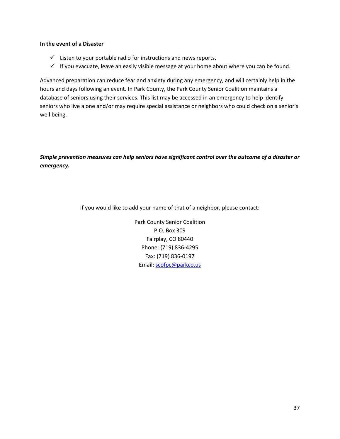#### **In the event of a Disaster**

- $\checkmark$  Listen to your portable radio for instructions and news reports.
- $\checkmark$  If you evacuate, leave an easily visible message at your home about where you can be found.

Advanced preparation can reduce fear and anxiety during any emergency, and will certainly help in the hours and days following an event. In Park County, the Park County Senior Coalition maintains a database of seniors using their services. This list may be accessed in an emergency to help identify seniors who live alone and/or may require special assistance or neighbors who could check on a senior's well being.

*Simple prevention measures can help seniors have significant control over the outcome of a disaster or emergency.*

If you would like to add your name of that of a neighbor, please contact:

Park County Senior Coalition P.O. Box 309 Fairplay, CO 80440 Phone: (719) 836-4295 Fax: (719) 836-0197 Email: [scofpc@parkco.us](mailto:scofpc@parkco.us)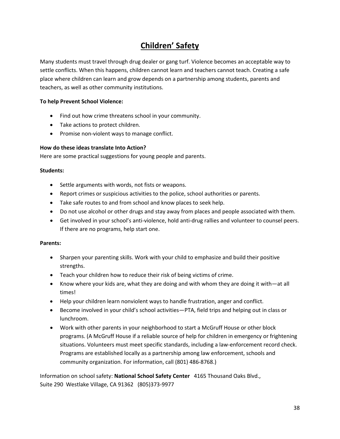# **Children' Safety**

Many students must travel through drug dealer or gang turf. Violence becomes an acceptable way to settle conflicts. When this happens, children cannot learn and teachers cannot teach. Creating a safe place where children can learn and grow depends on a partnership among students, parents and teachers, as well as other community institutions.

#### **To help Prevent School Violence:**

- Find out how crime threatens school in your community.
- Take actions to protect children.
- Promise non-violent ways to manage conflict.

#### **How do these ideas translate Into Action?**

Here are some practical suggestions for young people and parents.

#### **Students:**

- Settle arguments with words, not fists or weapons.
- Report crimes or suspicious activities to the police, school authorities or parents.
- Take safe routes to and from school and know places to seek help.
- Do not use alcohol or other drugs and stay away from places and people associated with them.
- Get involved in your school's anti-violence, hold anti-drug rallies and volunteer to counsel peers. If there are no programs, help start one.

#### **Parents:**

- Sharpen your parenting skills. Work with your child to emphasize and build their positive strengths.
- Teach your children how to reduce their risk of being victims of crime.
- Know where your kids are, what they are doing and with whom they are doing it with—at all times!
- Help your children learn nonviolent ways to handle frustration, anger and conflict.
- Become involved in your child's school activities—PTA, field trips and helping out in class or lunchroom.
- Work with other parents in your neighborhood to start a McGruff House or other block programs. (A McGruff House if a reliable source of help for children in emergency or frightening situations. Volunteers must meet specific standards, including a law-enforcement record check. Programs are established locally as a partnership among law enforcement, schools and community organization. For information, call (801) 486-8768.)

Information on school safety: **National School Safety Center** 4165 Thousand Oaks Blvd., Suite 290 Westlake Village, CA 91362 (805)373-9977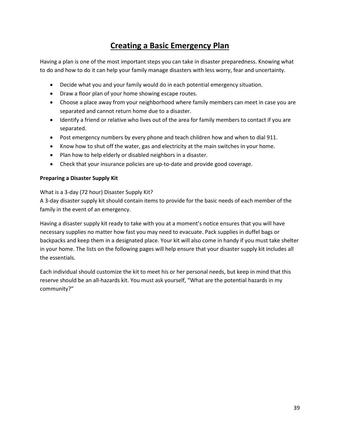# **Creating a Basic Emergency Plan**

Having a plan is one of the most important steps you can take in disaster preparedness. Knowing what to do and how to do it can help your family manage disasters with less worry, fear and uncertainty.

- Decide what you and your family would do in each potential emergency situation.
- Draw a floor plan of your home showing escape routes.
- Choose a place away from your neighborhood where family members can meet in case you are separated and cannot return home due to a disaster.
- Identify a friend or relative who lives out of the area for family members to contact if you are separated.
- Post emergency numbers by every phone and teach children how and when to dial 911.
- Know how to shut off the water, gas and electricity at the main switches in your home.
- Plan how to help elderly or disabled neighbors in a disaster.
- Check that your insurance policies are up-to-date and provide good coverage.

#### **Preparing a Disaster Supply Kit**

#### What is a 3-day (72 hour) Disaster Supply Kit?

A 3-day disaster supply kit should contain items to provide for the basic needs of each member of the family in the event of an emergency.

Having a disaster supply kit ready to take with you at a moment's notice ensures that you will have necessary supplies no matter how fast you may need to evacuate. Pack supplies in duffel bags or backpacks and keep them in a designated place. Your kit will also come in handy if you must take shelter in your home. The lists on the following pages will help ensure that your disaster supply kit includes all the essentials.

Each individual should customize the kit to meet his or her personal needs, but keep in mind that this reserve should be an all-hazards kit. You must ask yourself, "What are the potential hazards in my community?"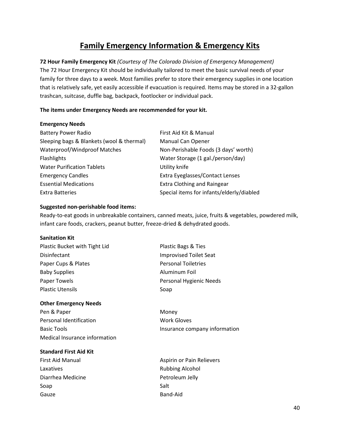# **Family Emergency Information & Emergency Kits**

**72 Hour Family Emergency Kit** *(Courtesy of The Colorado Division of Emergency Management)* The 72 Hour Emergency Kit should be individually tailored to meet the basic survival needs of your family for three days to a week. Most families prefer to store their emergency supplies in one location that is relatively safe, yet easily accessible if evacuation is required. Items may be stored in a 32-gallon trashcan, suitcase, duffle bag, backpack, footlocker or individual pack.

#### **The items under Emergency Needs are recommended for your kit.**

#### **Emergency Needs**

| <b>Battery Power Radio</b>                | First Aid Kit & Manual                    |
|-------------------------------------------|-------------------------------------------|
| Sleeping bags & Blankets (wool & thermal) | <b>Manual Can Opener</b>                  |
| Waterproof/Windproof Matches              | Non-Perishable Foods (3 days' worth)      |
| Flashlights                               | Water Storage (1 gal./person/day)         |
| <b>Water Purification Tablets</b>         | Utility knife                             |
| <b>Emergency Candles</b>                  | Extra Eyeglasses/Contact Lenses           |
| <b>Essential Medications</b>              | <b>Extra Clothing and Raingear</b>        |
| <b>Extra Batteries</b>                    | Special items for infants/elderly/diabled |

#### **Suggested non-perishable food items:**

Ready-to-eat goods in unbreakable containers, canned meats, juice, fruits & vegetables, powdered milk, infant care foods, crackers, peanut butter, freeze-dried & dehydrated goods.

#### **Sanitation Kit**

| Plastic Bucket with Tight Lid | Plastic Bags & Ties           |
|-------------------------------|-------------------------------|
| Disinfectant                  | <b>Improvised Toilet Seat</b> |
| Paper Cups & Plates           | <b>Personal Toiletries</b>    |
| <b>Baby Supplies</b>          | Aluminum Foil                 |
| Paper Towels                  | Personal Hygienic Needs       |
| <b>Plastic Utensils</b>       | Soap                          |
|                               |                               |

#### **Other Emergency Needs**

Pen & Paper Money Personal Identification Nork Gloves Basic Tools **Insurance company information** Medical Insurance information

#### **Standard First Aid Kit**

- Laxatives **Alcohol Example 2** and *Laxatives* **Rubbing Alcohol** Diarrhea Medicine **Petroleum Jelly** Soap Soap Soap Salt Gauze **Band-Aid**
- 
- 
- First Aid Manual **Aspirin or Pain Relievers**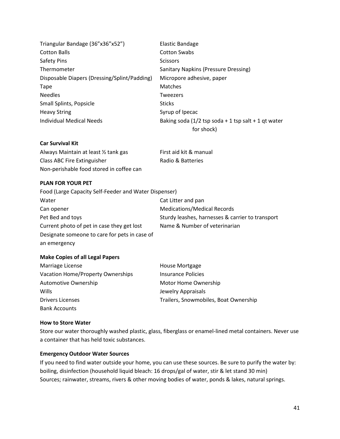| Triangular Bandage (36"x36"x52")             | Elastic Bandage                                        |
|----------------------------------------------|--------------------------------------------------------|
| <b>Cotton Balls</b>                          | <b>Cotton Swabs</b>                                    |
| Safety Pins                                  | <b>Scissors</b>                                        |
| Thermometer                                  | Sanitary Napkins (Pressure Dressing)                   |
| Disposable Diapers (Dressing/Splint/Padding) | Micropore adhesive, paper                              |
| Tape                                         | <b>Matches</b>                                         |
| <b>Needles</b>                               | <b>Tweezers</b>                                        |
| <b>Small Splints, Popsicle</b>               | <b>Sticks</b>                                          |
| <b>Heavy String</b>                          | Syrup of Ipecac                                        |
| Individual Medical Needs                     | Baking soda ( $1/2$ tsp soda + 1 tsp salt + 1 gt water |
|                                              | for shock)                                             |

#### **Car Survival Kit**

| Always Maintain at least $\frac{1}{2}$ tank gas | First aid kit & manual |
|-------------------------------------------------|------------------------|
| Class ABC Fire Extinguisher                     | Radio & Batteries      |
| Non-perishable food stored in coffee can        |                        |

#### **PLAN FOR YOUR PET**

| Food (Large Capacity Self-Feeder and Water Dispenser) |                                                  |
|-------------------------------------------------------|--------------------------------------------------|
| Water                                                 | Cat Litter and pan                               |
| Can opener                                            | <b>Medications/Medical Records</b>               |
| Pet Bed and toys                                      | Sturdy leashes, harnesses & carrier to transport |
| Current photo of pet in case they get lost            | Name & Number of veterinarian                    |
| Designate someone to care for pets in case of         |                                                  |
| an emergency                                          |                                                  |

#### **Make Copies of all Legal Papers**

| Marriage License                  | House Mortgage                        |
|-----------------------------------|---------------------------------------|
| Vacation Home/Property Ownerships | <b>Insurance Policies</b>             |
| Automotive Ownership              | Motor Home Ownership                  |
| Wills                             | Jewelry Appraisals                    |
| <b>Drivers Licenses</b>           | Trailers, Snowmobiles, Boat Ownership |
| <b>Bank Accounts</b>              |                                       |

#### **How to Store Water**

Store our water thoroughly washed plastic, glass, fiberglass or enamel-lined metal containers. Never use a container that has held toxic substances.

#### **Emergency Outdoor Water Sources**

If you need to find water outside your home, you can use these sources. Be sure to purify the water by: boiling, disinfection (household liquid bleach: 16 drops/gal of water, stir & let stand 30 min) Sources; rainwater, streams, rivers & other moving bodies of water, ponds & lakes, natural springs.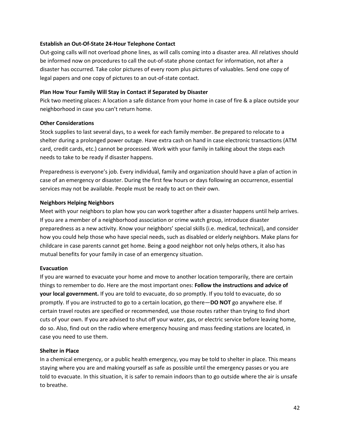#### **Establish an Out-Of-State 24-Hour Telephone Contact**

Out-going calls will not overload phone lines, as will calls coming into a disaster area. All relatives should be informed now on procedures to call the out-of-state phone contact for information, not after a disaster has occurred. Take color pictures of every room plus pictures of valuables. Send one copy of legal papers and one copy of pictures to an out-of-state contact.

#### **Plan How Your Family Will Stay in Contact if Separated by Disaster**

Pick two meeting places: A location a safe distance from your home in case of fire & a place outside your neighborhood in case you can't return home.

#### **Other Considerations**

Stock supplies to last several days, to a week for each family member. Be prepared to relocate to a shelter during a prolonged power outage. Have extra cash on hand in case electronic transactions (ATM card, credit cards, etc.) cannot be processed. Work with your family in talking about the steps each needs to take to be ready if disaster happens.

Preparedness is everyone's job. Every individual, family and organization should have a plan of action in case of an emergency or disaster. During the first few hours or days following an occurrence, essential services may not be available. People must be ready to act on their own.

#### **Neighbors Helping Neighbors**

Meet with your neighbors to plan how you can work together after a disaster happens until help arrives. If you are a member of a neighborhood association or crime watch group, introduce disaster preparedness as a new activity. Know your neighbors' special skills (i.e. medical, technical), and consider how you could help those who have special needs, such as disabled or elderly neighbors. Make plans for childcare in case parents cannot get home. Being a good neighbor not only helps others, it also has mutual benefits for your family in case of an emergency situation.

#### **Evacuation**

If you are warned to evacuate your home and move to another location temporarily, there are certain things to remember to do. Here are the most important ones: **Follow the instructions and advice of your local government.** If you are told to evacuate, do so promptly. If you told to evacuate, do so promptly. If you are instructed to go to a certain location, go there—**DO NOT** go anywhere else. If certain travel routes are specified or recommended, use those routes rather than trying to find short cuts of your own. If you are advised to shut off your water, gas, or electric service before leaving home, do so. Also, find out on the radio where emergency housing and mass feeding stations are located, in case you need to use them.

#### **Shelter in Place**

In a chemical emergency, or a public health emergency, you may be told to shelter in place. This means staying where you are and making yourself as safe as possible until the emergency passes or you are told to evacuate. In this situation, it is safer to remain indoors than to go outside where the air is unsafe to breathe.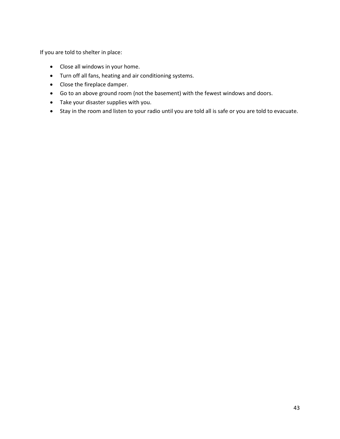If you are told to shelter in place:

- Close all windows in your home.
- Turn off all fans, heating and air conditioning systems.
- Close the fireplace damper.
- Go to an above ground room (not the basement) with the fewest windows and doors.
- Take your disaster supplies with you.
- Stay in the room and listen to your radio until you are told all is safe or you are told to evacuate.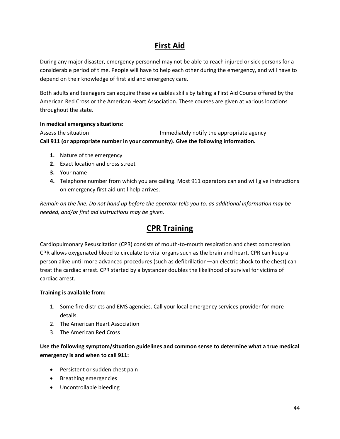# **First Aid**

During any major disaster, emergency personnel may not be able to reach injured or sick persons for a considerable period of time. People will have to help each other during the emergency, and will have to depend on their knowledge of first aid and emergency care.

Both adults and teenagers can acquire these valuables skills by taking a First Aid Course offered by the American Red Cross or the American Heart Association. These courses are given at various locations throughout the state.

#### **In medical emergency situations:**

Assess the situation **Immediately notify the appropriate agency Call 911 (or appropriate number in your community). Give the following information.**

- **1.** Nature of the emergency
- **2.** Exact location and cross street
- **3.** Your name
- **4.** Telephone number from which you are calling. Most 911 operators can and will give instructions on emergency first aid until help arrives.

*Remain on the line. Do not hand up before the operator tells you to, as additional information may be needed, and/or first aid instructions may be given.*

# **CPR Training**

Cardiopulmonary Resuscitation (CPR) consists of mouth-to-mouth respiration and chest compression. CPR allows oxygenated blood to circulate to vital organs such as the brain and heart. CPR can keep a person alive until more advanced procedures (such as defibrillation—an electric shock to the chest) can treat the cardiac arrest. CPR started by a bystander doubles the likelihood of survival for victims of cardiac arrest.

#### **Training is available from:**

- 1. Some fire districts and EMS agencies. Call your local emergency services provider for more details.
- 2. The American Heart Association
- 3. The American Red Cross

### **Use the following symptom/situation guidelines and common sense to determine what a true medical emergency is and when to call 911:**

- Persistent or sudden chest pain
- Breathing emergencies
- Uncontrollable bleeding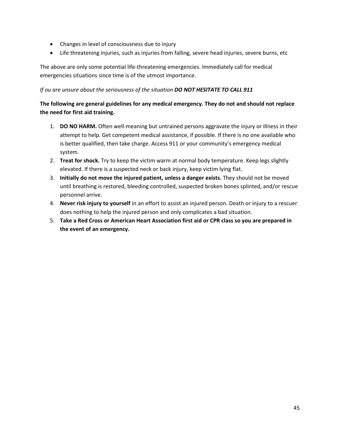- Changes in level of consciousness due to injury
- Life threatening injuries, such as injuries from falling, severe head injuries, severe burns, etc

The above are only some potential life-threatening emergencies. Immediately call for medical emergencies situations since time is of the utmost importance.

#### *If ou are unsure about the seriousness of the situation DO NOT HESITATE TO CALL 911*

### **The following are general guidelines for any medical emergency. They do not and should not replace the need for first aid training.**

- 1. **DO NO HARM.** Often well-meaning but untrained persons aggravate the injury or illness in their attempt to help. Get competent medical assistance, if possible. If there is no one available who is better qualified, then take charge. Access 911 or your community's emergency medical system.
- 2. **Treat for shock.** Try to keep the victim warm at normal body temperature. Keep legs slightly elevated. If there is a suspected neck or back injury, keep victim lying flat.
- 3. **Initially do not move the injured patient, unless a danger exists.** They should not be moved until breathing is restored, bleeding controlled, suspected broken bones splinted, and/or rescue personnel arrive.
- 4. **Never risk injury to yourself** in an effort to assist an injured person. Death or injury to a rescuer does nothing to help the injured person and only complicates a bad situation.
- 5. **Take a Red Cross or American Heart Association first aid or CPR class so you are prepared in the event of an emergency.**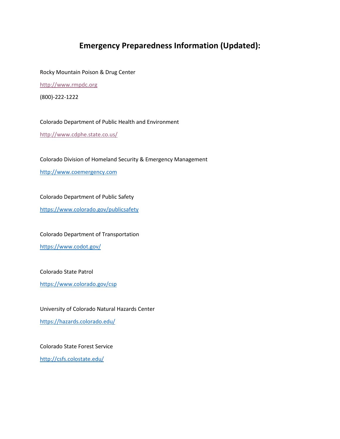### **Emergency Preparedness Information (Updated):**

Rocky Mountain Poison & Drug Center

[http://www.rmpdc.org](http://www.rmpdc.org/)

(800)-222-1222

Colorado Department of Public Health and Environment

<http://www.cdphe.state.co.us/>

Colorado Division of Homeland Security & Emergency Management

[http://www.coemergency.com](http://www.coemergency.com/)

Colorado Department of Public Safety

<https://www.colorado.gov/publicsafety>

#### Colorado Department of Transportation

<https://www.codot.gov/>

Colorado State Patrol

<https://www.colorado.gov/csp>

University of Colorado Natural Hazards Center

<https://hazards.colorado.edu/>

Colorado State Forest Service

<http://csfs.colostate.edu/>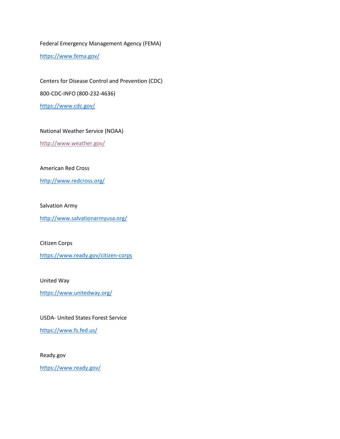Federal Emergency Management Agency (FEMA)

<https://www.fema.gov/>

Centers for Disease Control and Prevention (CDC) 800-CDC-INFO (800-232-4636) <https://www.cdc.gov/>

#### National Weather Service (NOAA)

<http://www.weather.gov/>

#### American Red Cross

<http://www.redcross.org/>

#### Salvation Army

<http://www.salvationarmyusa.org/>

#### Citizen Corps

<https://www.ready.gov/citizen-corps>

#### United Way

<https://www.unitedway.org/>

#### USDA- United States Forest Service

<https://www.fs.fed.us/>

#### Ready.gov

<https://www.ready.gov/>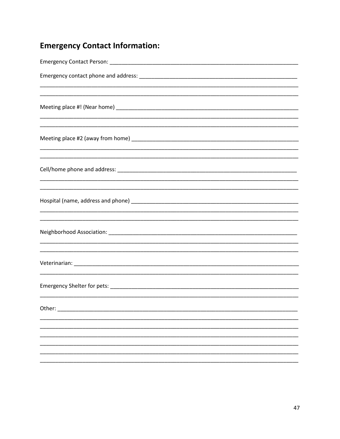# **Emergency Contact Information:**

| <u> 1989 - Johann Stoff, amerikansk politiker (d. 1989)</u>                      |
|----------------------------------------------------------------------------------|
| ,我们也不能在这里的时候,我们也不能在这里的时候,我们也不能会在这里的时候,我们也不能会在这里的时候,我们也不能会在这里的时候,我们也不能会在这里的时候,我们也 |
|                                                                                  |
|                                                                                  |
| Other:                                                                           |
|                                                                                  |
|                                                                                  |